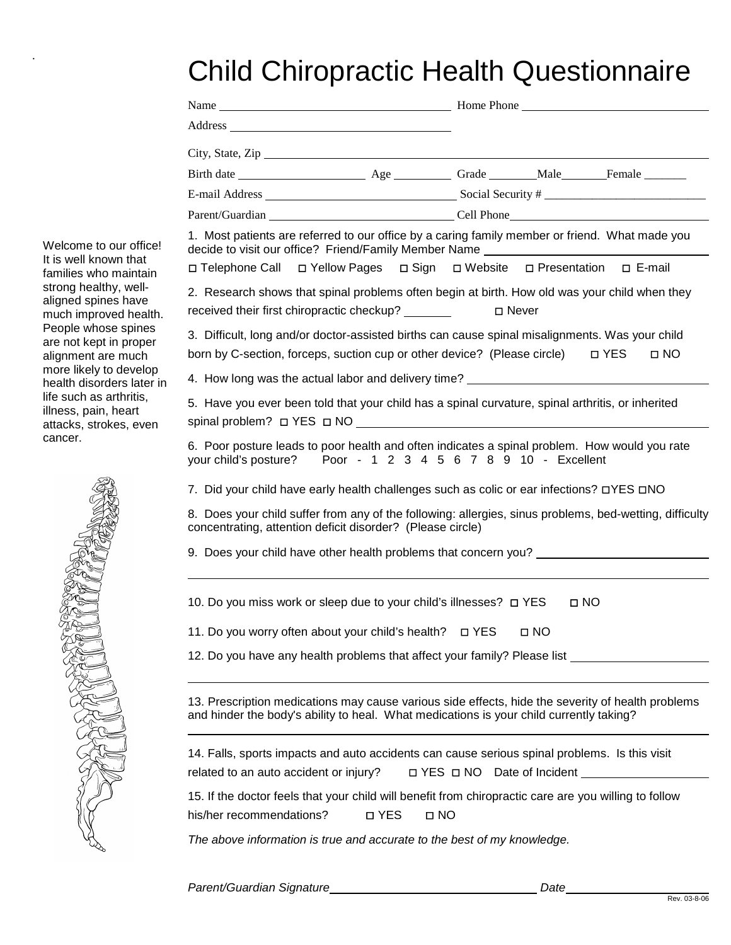## Child Chiropractic Health Questionnaire

.

| Welcome to our office!<br>It is well known that<br>families who maintain<br>strong healthy, well-<br>aligned spines have<br>much improved health.<br>People whose spines<br>are not kept in proper<br>alignment are much<br>more likely to develop<br>health disorders later in | City, State, Zip                                                                                                                                                                             |                                                                                                                                                                                                                                |  |
|---------------------------------------------------------------------------------------------------------------------------------------------------------------------------------------------------------------------------------------------------------------------------------|----------------------------------------------------------------------------------------------------------------------------------------------------------------------------------------------|--------------------------------------------------------------------------------------------------------------------------------------------------------------------------------------------------------------------------------|--|
|                                                                                                                                                                                                                                                                                 |                                                                                                                                                                                              |                                                                                                                                                                                                                                |  |
|                                                                                                                                                                                                                                                                                 |                                                                                                                                                                                              |                                                                                                                                                                                                                                |  |
|                                                                                                                                                                                                                                                                                 |                                                                                                                                                                                              | Parent/Guardian Cell Phone Cell Phone Cell Phone Cell Phone Cell Phone Cell Phone Cell Phone Cell Phone Cell Phone Cell Phone Cell Phone Cell Phone Cell Phone Cell Phone Cell Phone Cell Phone Cell Phone Cell Phone Cell Pho |  |
|                                                                                                                                                                                                                                                                                 | 1. Most patients are referred to our office by a caring family member or friend. What made you<br>decide to visit our office? Friend/Family Member Name                                      |                                                                                                                                                                                                                                |  |
|                                                                                                                                                                                                                                                                                 | □ Telephone Call □ Yellow Pages □ Sign □ Website □ Presentation □ E-mail                                                                                                                     |                                                                                                                                                                                                                                |  |
|                                                                                                                                                                                                                                                                                 | 2. Research shows that spinal problems often begin at birth. How old was your child when they                                                                                                |                                                                                                                                                                                                                                |  |
|                                                                                                                                                                                                                                                                                 | received their first chiropractic checkup? ________                                                                                                                                          | □ Never                                                                                                                                                                                                                        |  |
|                                                                                                                                                                                                                                                                                 | 3. Difficult, long and/or doctor-assisted births can cause spinal misalignments. Was your child<br>born by C-section, forceps, suction cup or other device? (Please circle)                  | N YES<br>$\Box$ NO                                                                                                                                                                                                             |  |
|                                                                                                                                                                                                                                                                                 |                                                                                                                                                                                              | 4. How long was the actual labor and delivery time? ____________________________                                                                                                                                               |  |
| life such as arthritis.                                                                                                                                                                                                                                                         | 5. Have you ever been told that your child has a spinal curvature, spinal arthritis, or inherited                                                                                            |                                                                                                                                                                                                                                |  |
| illness, pain, heart<br>attacks, strokes, even<br>cancer.                                                                                                                                                                                                                       |                                                                                                                                                                                              |                                                                                                                                                                                                                                |  |
|                                                                                                                                                                                                                                                                                 | 6. Poor posture leads to poor health and often indicates a spinal problem. How would you rate<br>your child's posture?  Poor - 1 2 3 4 5 6 7 8 9 10 - Excellent                              |                                                                                                                                                                                                                                |  |
|                                                                                                                                                                                                                                                                                 | 7. Did your child have early health challenges such as colic or ear infections? DYES DNO                                                                                                     |                                                                                                                                                                                                                                |  |
|                                                                                                                                                                                                                                                                                 | 8. Does your child suffer from any of the following: allergies, sinus problems, bed-wetting, difficulty<br>concentrating, attention deficit disorder? (Please circle)                        |                                                                                                                                                                                                                                |  |
|                                                                                                                                                                                                                                                                                 |                                                                                                                                                                                              | 9. Does your child have other health problems that concern you? _________________                                                                                                                                              |  |
|                                                                                                                                                                                                                                                                                 | 10. Do you miss work or sleep due to your child's illnesses? □ YES                                                                                                                           | $\Box$ NO                                                                                                                                                                                                                      |  |
|                                                                                                                                                                                                                                                                                 | 11. Do you worry often about your child's health?  □ YES<br>$\square$ NO                                                                                                                     |                                                                                                                                                                                                                                |  |
|                                                                                                                                                                                                                                                                                 |                                                                                                                                                                                              | 12. Do you have any health problems that affect your family? Please list __________________________                                                                                                                            |  |
|                                                                                                                                                                                                                                                                                 | 13. Prescription medications may cause various side effects, hide the severity of health problems<br>and hinder the body's ability to heal. What medications is your child currently taking? |                                                                                                                                                                                                                                |  |
|                                                                                                                                                                                                                                                                                 | 14. Falls, sports impacts and auto accidents can cause serious spinal problems. Is this visit<br>related to an auto accident or injury?                                                      | □ YES □ NO Date of Incident                                                                                                                                                                                                    |  |
|                                                                                                                                                                                                                                                                                 |                                                                                                                                                                                              |                                                                                                                                                                                                                                |  |
|                                                                                                                                                                                                                                                                                 | 15. If the doctor feels that your child will benefit from chiropractic care are you willing to follow<br>□ YES<br>his/her recommendations?<br>$\Box$ NO                                      |                                                                                                                                                                                                                                |  |
|                                                                                                                                                                                                                                                                                 | The above information is true and accurate to the best of my knowledge.                                                                                                                      |                                                                                                                                                                                                                                |  |
|                                                                                                                                                                                                                                                                                 |                                                                                                                                                                                              |                                                                                                                                                                                                                                |  |

*Parent/Guardian Signature Date*